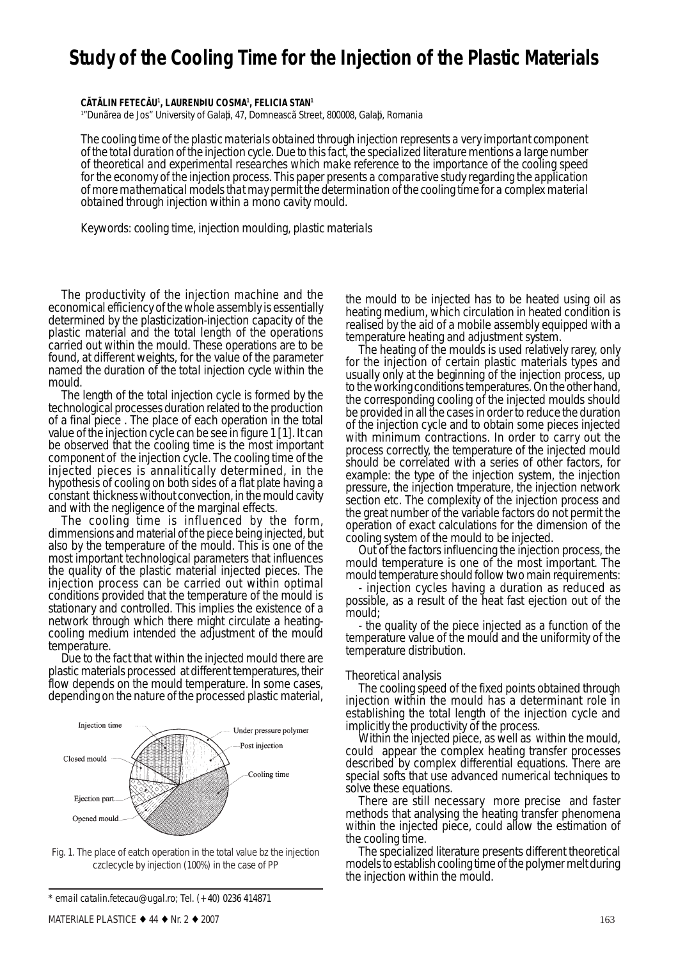# **Study of the Cooling Time for the Injection of the Plastic Materials**

**CÃTÃLIN FETECÃU1 , LAURENÞIU COSMA1 , FELICIA STAN1**

1 "Dunãrea de Jos" University of Galaþi, 47, Domneascã Street, 800008, Galaþi, Romania

*The cooling time of the plastic materials obtained through injection represents a very important component of the total duration of the injection cycle. Due to this fact, the specialized literature mentions a large number of theoretical and experimental researches which make reference to the importance of the cooling speed for the economy of the injection process. This paper presents a comparative study regarding the application of more mathematical models that may permit the determination of the cooling time for a complex material obtained through injection within a mono cavity mould.*

*Keywords: cooling time, injection moulding, plastic materials*

The productivity of the injection machine and the economical efficiency of the whole assembly is essentially determined by the plasticization-injection capacity of the plastic material and the total length of the operations carried out within the mould. These operations are to be found, at different weights, for the value of the parameter named *the duration of the total injection cycle within the*

*mould.*<br>The length of the total injection cycle is formed by the technological processes duration related to the production of a final piece . The place of each operation in the total value of the injection cycle can be see in figure 1 [1]. It can be observed that the cooling time is the most important component of the injection cycle. The cooling time of the injected pieces is annalitically determined, in the hypothesis of cooling on both sides of a flat plate having a constant thickness without convection, in the mould cavity and with the negligence of the marginal effects.

The cooling time is influenced by the form, dimmensions and material of the piece being injected, but also by the temperature of the mould. This is one of the most important technological parameters that influences the quality of the plastic material injected pieces. The injection process can be carried out within optimal conditions provided that the temperature of the mould is stationary and controlled. This implies the existence of a network through which there might circulate a heatingcooling medium intended the adjustment of the mould temperature.

Due to the fact that within the injected mould there are plastic materials processed at different temperatures, their flow depends on the mould temperature. In some cases, depending on the nature of the processed plastic material,



Fig. 1. The place of eatch operation in the total value bz the injection czclecycle by injection (100%) in the case of PP

*\* email catalin.fetecau@ugal.ro; Tel. (+40) 0236 414871*

the mould to be injected has to be heated using oil as heating medium, which circulation in heated condition is realised by the aid of a mobile assembly equipped with a

temperature heating and adjustment system. The heating of the moulds is used relatively rarey, only for the injection of certain plastic materials types and usually only at the beginning of the injection process, up to the working conditions temperatures. On the other hand, the corresponding cooling of the injected moulds should be provided in all the cases in order to reduce the duration of the injection cycle and to obtain some pieces injected with minimum contractions. In order to carry out the process correctly, the temperature of the injected mould should be correlated with a series of other factors, for example: the type of the injection system, the injection pressure, the injection tmperature, the injection network section etc. The complexity of the injection process and the great number of the variable factors do not permit the operation of exact calculations for the dimension of the

cooling system of the mould to be injected.<br>Out of the factors influencing the injection process, the mould temperature is one of the most important. The mould temperature should follow two main requirements:

- injection cycles having a duration as reduced as possible, as a result of the heat fast ejection out of the mould;

- the quality of the piece injected as a function of the temperature value of the mould and the uniformity of the temperature distribution.

### *Theoretical analysis*

The cooling speed of the fixed points obtained through injection within the mould has a determinant role in establishing the total length of the injection cycle and implicitly the productivity of the process.

Within the injected piece, as well as within the mould, could appear the complex heating transfer processes described by complex differential equations. There are special softs that use advanced numerical techniques to solve these equations.

There are still necessary more precise and faster methods that analysing the heating transfer phenomena within the injected piece, could allow the estimation of the cooling time.

The specialized literature presents different theoretical models to establish cooling time of the polymer melt during the injection within the mould.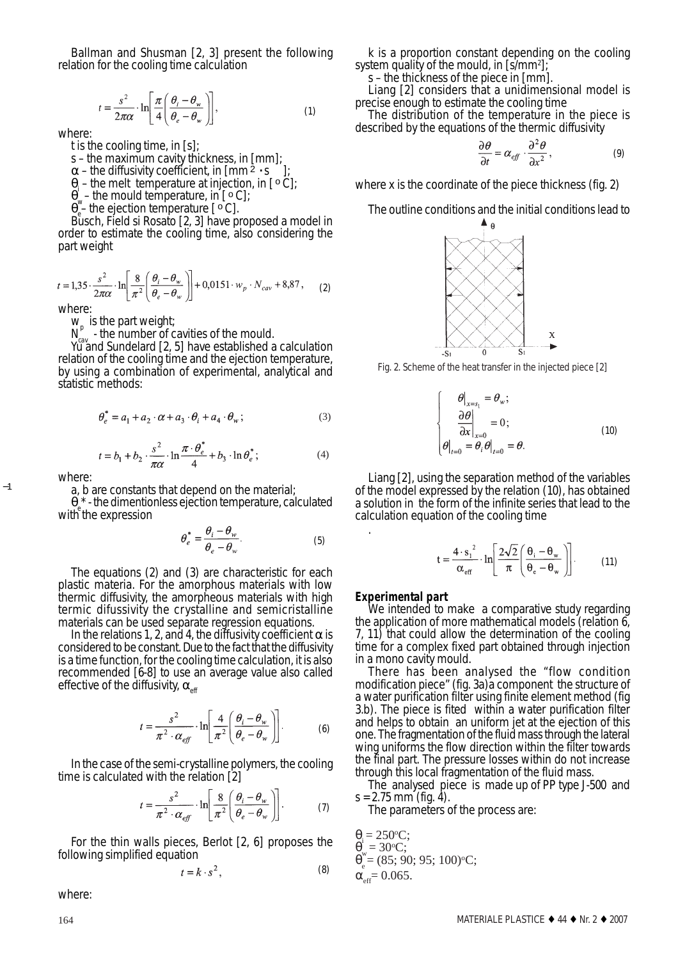Ballman and Shusman [2, 3] present the following relation for the cooling time calculation

$$
t = \frac{s^2}{2\pi\alpha} \cdot \ln\left[\frac{\pi}{4} \left(\frac{\theta_i - \theta_w}{\theta_e - \theta_w}\right)\right],\tag{1}
$$

where:

*t* is the cooling time, in [s];

*s* – the maximum cavity thickness, in [mm];

 $\alpha$  – the diffusivity coefficient, in  $\left[\text{mm}^{\frac{3}{2}}\cdot\text{s}\right]$ ];

 $\theta_i$  – the melt temperature at injection, in [ $\circ \overline{C}$ ];

 $\theta_w$  – the mould temperature, in [ $\circ$  C];

 $\theta_{\rm e}^{\rm v}$  the ejection temperature [ $\circ$ C].

Busch, Field si Rosato [2, 3] have proposed a model in order to estimate the cooling time, also considering the part weight

$$
t = 1,35 \cdot \frac{s^2}{2\pi\alpha} \cdot \ln\left[\frac{8}{\pi^2} \left(\frac{\theta_i - \theta_w}{\theta_e - \theta_w}\right)\right] + 0,0151 \cdot w_p \cdot N_{cav} + 8,87, \tag{2}
$$

where:

 $W_p$  is the part weight;

 $N_{cav}^{\nu}$  - the number of cavities of the mould.

Yu and Sundelard [2, 5] have established a calculation relation of the cooling time and the ejection temperature, by using a combination of experimental, analytical and statistic methods:

$$
\theta_e^* = a_1 + a_2 \cdot \alpha + a_3 \cdot \theta_i + a_4 \cdot \theta_w; \tag{3}
$$

$$
t = b_1 + b_2 \cdot \frac{s^2}{\pi \alpha} \cdot \ln \frac{\pi \cdot \theta_e^*}{4} + b_3 \cdot \ln \theta_e^*;
$$
 (4)

where:

−1

a, b are constants that depend on the material;

 $\theta_e^*$  - the dimentionless ejection temperature, calculated with the expression

$$
\theta_e^* = \frac{\theta_i - \theta_w}{\theta_e - \theta_w}.
$$
 (5)

The equations (2) and (3) are characteristic for each plastic materia. For the amorphous materials with low thermic diffusivity, the amorpheous materials with high termic difussivity the crystalline and semicristalline materials can be used separate regression equations.

In the relations 1, 2, and 4, the diffusivity coefficient  $\alpha$  is considered to be constant. Due to the fact that the diffusivity is a time function, for the cooling time calculation, it is also recommended [6-8] to use an average value also called effective of the diffusivity,  $\alpha_{\text{eff}}$ 

$$
t = \frac{s^2}{\pi^2 \cdot \alpha_{\text{eff}}} \cdot \ln \left[ \frac{4}{\pi^2} \left( \frac{\theta_i - \theta_w}{\theta_e - \theta_w} \right) \right]. \tag{6}
$$

In the case of the semi-crystalline polymers, the cooling time is calculated with the relation [2]

$$
t = \frac{s^2}{\pi^2 \cdot \alpha_{\text{eff}}} \cdot \ln\left[\frac{8}{\pi^2} \left(\frac{\theta_i - \theta_w}{\theta_e - \theta_w}\right)\right].
$$
 (7)

For the thin walls pieces, Berlot [2, 6] proposes the following simplified equation

$$
t = k \cdot s^2, \tag{8}
$$

where:

k is a proportion constant depending on the cooling system quality of the mould, in [s/mm<sup>2</sup>];

s – the thickness of the piece in [mm].

Liang [2] considers that a unidimensional model is precise enough to estimate the cooling time

The distribution of the temperature in the piece is described by the equations of the thermic diffusivity

$$
\frac{\partial \theta}{\partial t} = \alpha_{\text{eff}} \cdot \frac{\partial^2 \theta}{\partial x^2},\tag{9}
$$

where x is the coordinate of the piece thickness (fig. 2)

The outline conditions and the initial conditions lead to



Fig. 2. Scheme of the heat transfer in the injected piece [2]

$$
\begin{cases}\n\theta\big|_{x=s_1} = \theta_w; \\
\frac{\partial \theta}{\partial x}\big|_{x=0} = 0; \\
\theta\big|_{t=0} = \theta_t \theta\big|_{t=0} = \theta.\n\end{cases}
$$
\n(10)

Liang [2], using the separation method of the variables of the model expressed by the relation (10), has obtained a solution in the form of the infinite series that lead to the calculation equation of the cooling time

$$
t = \frac{4 \cdot s_1^2}{\alpha_{\text{eff}}} \cdot \ln \left[ \frac{2\sqrt{2}}{\pi} \left( \frac{\theta_i - \theta_w}{\theta_e - \theta_w} \right) \right].
$$
 (11)

.

**Experimental part**<br>We intended to make a comparative study regarding the application of more mathematical models (relation  $\ddot{6}$ , 7, 11) that could allow the determination of the cooling time for a complex fixed part obtained through injection in a mono cavity mould.

There has been analysed the "flow condition modification piece" (fig. 3a)a component the structure of a water purification filter using finite element method (fig 3.b). The piece is fited within a water purification filter and helps to obtain an uniform jet at the ejection of this one. The fragmentation of the fluid mass through the lateral wing uniforms the flow direction within the filter towards the final part. The pressure losses within do not increase through this local fragmentation of the fluid mass.

The analysed piece is made up of PP type J-500 and  $s = 2.75$  mm (fig. 4).

The parameters of the process are:

 $\theta$ <sub>i</sub> = 250<sup>o</sup>C;  $\theta_w = 30$ °C;  $\theta_{\rm e}^{\prime\prime}$  = (85; 90; 95; 100) $^{\circ}$ C;  $\alpha_{\text{eff}}$ = 0.065.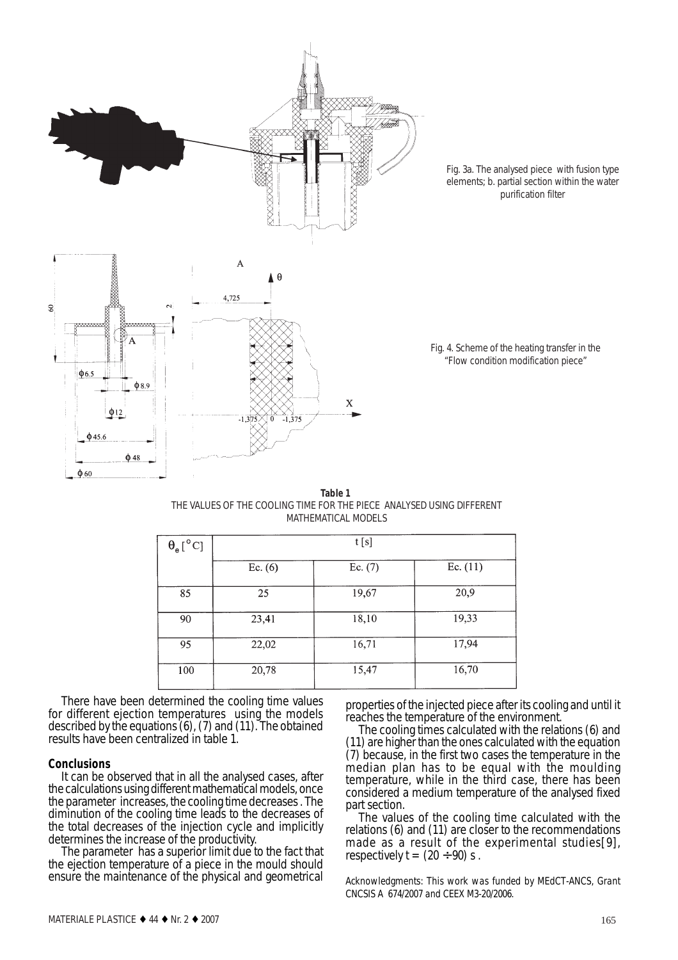

Fig. 3a. The analysed piece with fusion type elements; b. partial section within the water purification filter

Fig. 4. Scheme of the heating transfer in the "Flow condition modification piece"

| <b>Table 1</b>                                                        |  |  |  |  |
|-----------------------------------------------------------------------|--|--|--|--|
| THE VALUES OF THE COOLING TIME FOR THE PIECE ANALYSED USING DIFFERENT |  |  |  |  |
| MATHEMATICAL MODELS                                                   |  |  |  |  |

| $\theta_{\rm e}[^{\circ} \mathrm{C}]$ | t[s]      |           |            |
|---------------------------------------|-----------|-----------|------------|
|                                       | Ec. $(6)$ | Ec. $(7)$ | Ec. $(11)$ |
| 85                                    | 25        | 19,67     | 20,9       |
| 90                                    | 23,41     | 18,10     | 19,33      |
| 95                                    | 22,02     | 16,71     | 17,94      |
| 100                                   | 20,78     | 15,47     | 16,70      |

There have been determined the cooling time values for different ejection temperatures using the models described by the equations (6), (7) and (11). The obtained results have been centralized in table 1.

**Conclusions**<br>It can be observed that in all the analysed cases, after the calculations using different mathematical models, once the parameter increases, the cooling time decreases . The diminution of the cooling time leads to the decreases of the total decreases of the injection cycle and implicitly determines the increase of the productivity.

The parameter has a superior limit due to the fact that the ejection temperature of a piece in the mould should ensure the maintenance of the physical and geometrical properties of the injected piece after its cooling and until it reaches the temperature of the environment.

The cooling times calculated with the relations (6) and (11) are higher than the ones calculated with the equation (7) because, in the first two cases the temperature in the median plan has to be equal with the moulding temperature, while in the third case, there has been considered a medium temperature of the analysed fixed part section.<br>The values of the cooling time calculated with the

relations  $(6)$  and  $(11)$  are closer to the recommendations made as a result of the experimental studies[9], respectively  $t = (20 \div 90)$  s.

*Acknowledgments: This work was funded by MEdCT-ANCS, Grant CNCSIS A 674/2007 and CEEX M3-20/2006.*